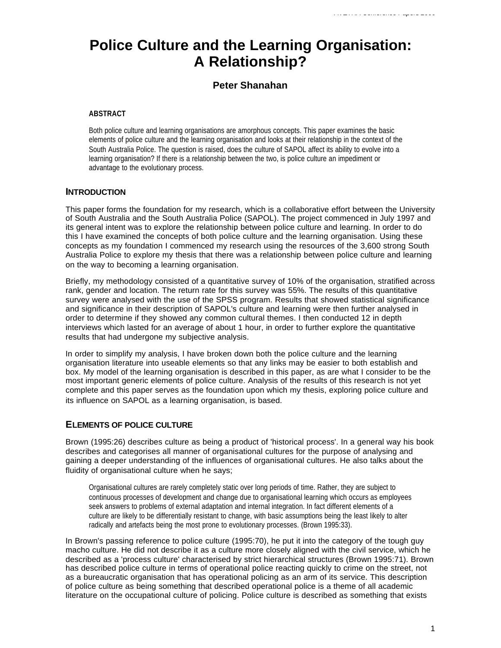# **Police Culture and the Learning Organisation: A Relationship?**

## **Peter Shanahan**

## **ABSTRACT**

Both police culture and learning organisations are amorphous concepts. This paper examines the basic elements of police culture and the learning organisation and looks at their relationship in the context of the South Australia Police. The question is raised, does the culture of SAPOL affect its ability to evolve into a learning organisation? If there is a relationship between the two, is police culture an impediment or advantage to the evolutionary process.

## **INTRODUCTION**

This paper forms the foundation for my research, which is a collaborative effort between the University of South Australia and the South Australia Police (SAPOL). The project commenced in July 1997 and its general intent was to explore the relationship between police culture and learning. In order to do this I have examined the concepts of both police culture and the learning organisation. Using these concepts as my foundation I commenced my research using the resources of the 3,600 strong South Australia Police to explore my thesis that there was a relationship between police culture and learning on the way to becoming a learning organisation.

Briefly, my methodology consisted of a quantitative survey of 10% of the organisation, stratified across rank, gender and location. The return rate for this survey was 55%. The results of this quantitative survey were analysed with the use of the SPSS program. Results that showed statistical significance and significance in their description of SAPOL's culture and learning were then further analysed in order to determine if they showed any common cultural themes. I then conducted 12 in depth interviews which lasted for an average of about 1 hour, in order to further explore the quantitative results that had undergone my subjective analysis.

In order to simplify my analysis, I have broken down both the police culture and the learning organisation literature into useable elements so that any links may be easier to both establish and box. My model of the learning organisation is described in this paper, as are what I consider to be the most important generic elements of police culture. Analysis of the results of this research is not yet complete and this paper serves as the foundation upon which my thesis, exploring police culture and its influence on SAPOL as a learning organisation, is based.

## **ELEMENTS OF POLICE CULTURE**

Brown (1995:26) describes culture as being a product of 'historical process'. In a general way his book describes and categorises all manner of organisational cultures for the purpose of analysing and gaining a deeper understanding of the influences of organisational cultures. He also talks about the fluidity of organisational culture when he says;

Organisational cultures are rarely completely static over long periods of time. Rather, they are subject to continuous processes of development and change due to organisational learning which occurs as employees seek answers to problems of external adaptation and internal integration. In fact different elements of a culture are likely to be differentially resistant to change, with basic assumptions being the least likely to alter radically and artefacts being the most prone to evolutionary processes. (Brown 1995:33).

In Brown's passing reference to police culture (1995:70), he put it into the category of the tough guy macho culture. He did not describe it as a culture more closely aligned with the civil service, which he described as a 'process culture' characterised by strict hierarchical structures (Brown 1995:71). Brown has described police culture in terms of operational police reacting quickly to crime on the street, not as a bureaucratic organisation that has operational policing as an arm of its service. This description of police culture as being something that described operational police is a theme of all academic literature on the occupational culture of policing. Police culture is described as something that exists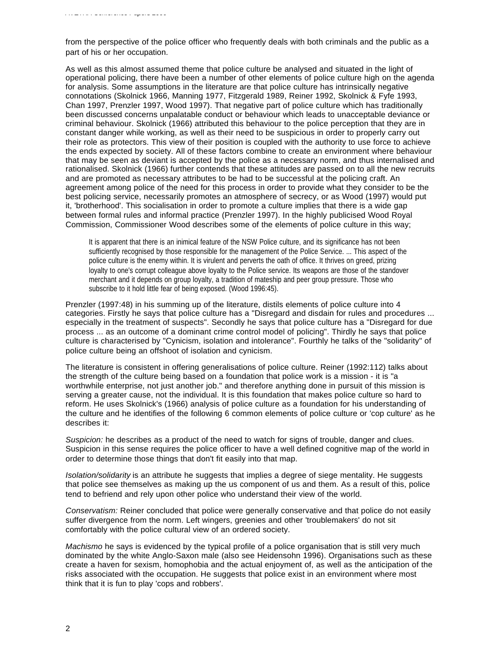from the perspective of the police officer who frequently deals with both criminals and the public as a part of his or her occupation.

As well as this almost assumed theme that police culture be analysed and situated in the light of operational policing, there have been a number of other elements of police culture high on the agenda for analysis. Some assumptions in the literature are that police culture has intrinsically negative connotations (Skolnick 1966, Manning 1977, Fitzgerald 1989, Reiner 1992, Skolnick & Fyfe 1993, Chan 1997, Prenzler 1997, Wood 1997). That negative part of police culture which has traditionally been discussed concerns unpalatable conduct or behaviour which leads to unacceptable deviance or criminal behaviour. Skolnick (1966) attributed this behaviour to the police perception that they are in constant danger while working, as well as their need to be suspicious in order to properly carry out their role as protectors. This view of their position is coupled with the authority to use force to achieve the ends expected by society. All of these factors combine to create an environment where behaviour that may be seen as deviant is accepted by the police as a necessary norm, and thus internalised and rationalised. Skolnick (1966) further contends that these attitudes are passed on to all the new recruits and are promoted as necessary attributes to be had to be successful at the policing craft. An agreement among police of the need for this process in order to provide what they consider to be the best policing service, necessarily promotes an atmosphere of secrecy, or as Wood (1997) would put it, 'brotherhood'. This socialisation in order to promote a culture implies that there is a wide gap between formal rules and informal practice (Prenzler 1997). In the highly publicised Wood Royal Commission, Commissioner Wood describes some of the elements of police culture in this way;

It is apparent that there is an inimical feature of the NSW Police culture, and its significance has not been sufficiently recognised by those responsible for the management of the Police Service. ... This aspect of the police culture is the enemy within. It is virulent and perverts the oath of office. It thrives on greed, prizing loyalty to one's corrupt colleague above loyalty to the Police service. Its weapons are those of the standover merchant and it depends on group loyalty, a tradition of mateship and peer group pressure. Those who subscribe to it hold little fear of being exposed. (Wood 1996:45).

Prenzler (1997:48) in his summing up of the literature, distils elements of police culture into 4 categories. Firstly he says that police culture has a "Disregard and disdain for rules and procedures ... especially in the treatment of suspects". Secondly he says that police culture has a "Disregard for due process ... as an outcome of a dominant crime control model of policing". Thirdly he says that police culture is characterised by "Cynicism, isolation and intolerance". Fourthly he talks of the "solidarity" of police culture being an offshoot of isolation and cynicism.

The literature is consistent in offering generalisations of police culture. Reiner (1992:112) talks about the strength of the culture being based on a foundation that police work is a mission - it is "a worthwhile enterprise, not just another job." and therefore anything done in pursuit of this mission is serving a greater cause, not the individual. It is this foundation that makes police culture so hard to reform. He uses Skolnick's (1966) analysis of police culture as a foundation for his understanding of the culture and he identifies of the following 6 common elements of police culture or 'cop culture' as he describes it:

*Suspicion:* he describes as a product of the need to watch for signs of trouble, danger and clues. Suspicion in this sense requires the police officer to have a well defined cognitive map of the world in order to determine those things that don't fit easily into that map.

*Isolation/solidarity* is an attribute he suggests that implies a degree of siege mentality. He suggests that police see themselves as making up the us component of us and them. As a result of this, police tend to befriend and rely upon other police who understand their view of the world.

*Conservatism:* Reiner concluded that police were generally conservative and that police do not easily suffer divergence from the norm. Left wingers, greenies and other 'troublemakers' do not sit comfortably with the police cultural view of an ordered society.

*Machismo* he says is evidenced by the typical profile of a police organisation that is still very much dominated by the white Anglo-Saxon male (also see Heidensohn 1996). Organisations such as these create a haven for sexism, homophobia and the actual enjoyment of, as well as the anticipation of the risks associated with the occupation. He suggests that police exist in an environment where most think that it is fun to play 'cops and robbers'.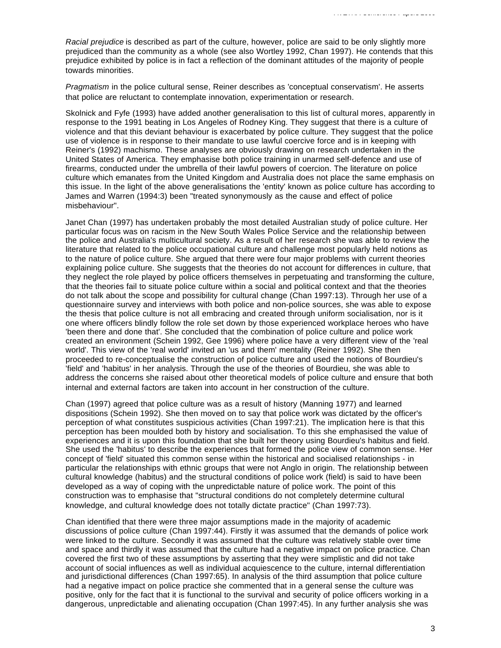*Racial prejudice* is described as part of the culture, however, police are said to be only slightly more prejudiced than the community as a whole (see also Wortley 1992, Chan 1997). He contends that this prejudice exhibited by police is in fact a reflection of the dominant attitudes of the majority of people towards minorities.

*Pragmatism* in the police cultural sense, Reiner describes as 'conceptual conservatism'. He asserts that police are reluctant to contemplate innovation, experimentation or research.

Skolnick and Fyfe (1993) have added another generalisation to this list of cultural mores, apparently in response to the 1991 beating in Los Angeles of Rodney King. They suggest that there is a culture of violence and that this deviant behaviour is exacerbated by police culture. They suggest that the police use of violence is in response to their mandate to use lawful coercive force and is in keeping with Reiner's (1992) machismo. These analyses are obviously drawing on research undertaken in the United States of America. They emphasise both police training in unarmed self-defence and use of firearms, conducted under the umbrella of their lawful powers of coercion. The literature on police culture which emanates from the United Kingdom and Australia does not place the same emphasis on this issue. In the light of the above generalisations the 'entity' known as police culture has according to James and Warren (1994:3) been "treated synonymously as the cause and effect of police misbehaviour".

Janet Chan (1997) has undertaken probably the most detailed Australian study of police culture. Her particular focus was on racism in the New South Wales Police Service and the relationship between the police and Australia's multicultural society. As a result of her research she was able to review the literature that related to the police occupational culture and challenge most popularly held notions as to the nature of police culture. She argued that there were four major problems with current theories explaining police culture. She suggests that the theories do not account for differences in culture, that they neglect the role played by police officers themselves in perpetuating and transforming the culture, that the theories fail to situate police culture within a social and political context and that the theories do not talk about the scope and possibility for cultural change (Chan 1997:13). Through her use of a questionnaire survey and interviews with both police and non-police sources, she was able to expose the thesis that police culture is not all embracing and created through uniform socialisation, nor is it one where officers blindly follow the role set down by those experienced workplace heroes who have 'been there and done that'. She concluded that the combination of police culture and police work created an environment (Schein 1992, Gee 1996) where police have a very different view of the 'real world'. This view of the 'real world' invited an 'us and them' mentality (Reiner 1992). She then proceeded to re-conceptualise the construction of police culture and used the notions of Bourdieu's 'field' and 'habitus' in her analysis. Through the use of the theories of Bourdieu, she was able to address the concerns she raised about other theoretical models of police culture and ensure that both internal and external factors are taken into account in her construction of the culture.

Chan (1997) agreed that police culture was as a result of history (Manning 1977) and learned dispositions (Schein 1992). She then moved on to say that police work was dictated by the officer's perception of what constitutes suspicious activities (Chan 1997:21). The implication here is that this perception has been moulded both by history and socialisation. To this she emphasised the value of experiences and it is upon this foundation that she built her theory using Bourdieu's habitus and field. She used the 'habitus' to describe the experiences that formed the police view of common sense. Her concept of 'field' situated this common sense within the historical and socialised relationships - in particular the relationships with ethnic groups that were not Anglo in origin. The relationship between cultural knowledge (habitus) and the structural conditions of police work (field) is said to have been developed as a way of coping with the unpredictable nature of police work. The point of this construction was to emphasise that "structural conditions do not completely determine cultural knowledge, and cultural knowledge does not totally dictate practice" (Chan 1997:73).

Chan identified that there were three major assumptions made in the majority of academic discussions of police culture (Chan 1997:44). Firstly it was assumed that the demands of police work were linked to the culture. Secondly it was assumed that the culture was relatively stable over time and space and thirdly it was assumed that the culture had a negative impact on police practice. Chan covered the first two of these assumptions by asserting that they were simplistic and did not take account of social influences as well as individual acquiescence to the culture, internal differentiation and jurisdictional differences (Chan 1997:65). In analysis of the third assumption that police culture had a negative impact on police practice she commented that in a general sense the culture was positive, only for the fact that it is functional to the survival and security of police officers working in a dangerous, unpredictable and alienating occupation (Chan 1997:45). In any further analysis she was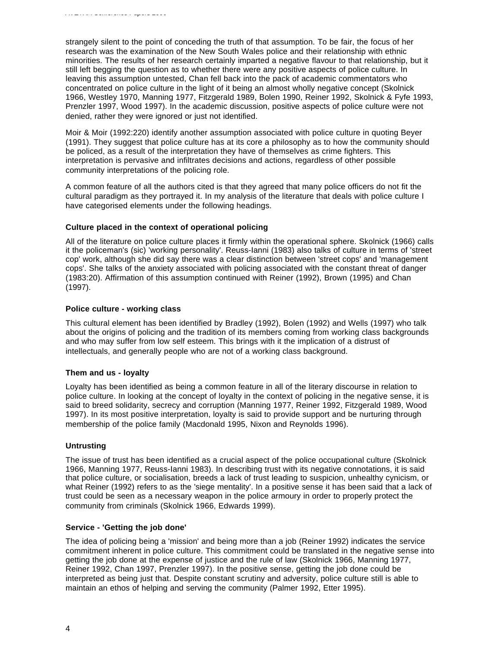strangely silent to the point of conceding the truth of that assumption. To be fair, the focus of her research was the examination of the New South Wales police and their relationship with ethnic minorities. The results of her research certainly imparted a negative flavour to that relationship, but it still left begging the question as to whether there were any positive aspects of police culture. In leaving this assumption untested, Chan fell back into the pack of academic commentators who concentrated on police culture in the light of it being an almost wholly negative concept (Skolnick 1966, Westley 1970, Manning 1977, Fitzgerald 1989, Bolen 1990, Reiner 1992, Skolnick & Fyfe 1993, Prenzler 1997, Wood 1997). In the academic discussion, positive aspects of police culture were not denied, rather they were ignored or just not identified.

Moir & Moir (1992:220) identify another assumption associated with police culture in quoting Beyer (1991). They suggest that police culture has at its core a philosophy as to how the community should be policed, as a result of the interpretation they have of themselves as crime fighters. This interpretation is pervasive and infiltrates decisions and actions, regardless of other possible community interpretations of the policing role.

A common feature of all the authors cited is that they agreed that many police officers do not fit the cultural paradigm as they portrayed it. In my analysis of the literature that deals with police culture I have categorised elements under the following headings.

#### **Culture placed in the context of operational policing**

All of the literature on police culture places it firmly within the operational sphere. Skolnick (1966) calls it the policeman's (sic) 'working personality'. Reuss-Ianni (1983) also talks of culture in terms of 'street cop' work, although she did say there was a clear distinction between 'street cops' and 'management cops'. She talks of the anxiety associated with policing associated with the constant threat of danger (1983:20). Affirmation of this assumption continued with Reiner (1992), Brown (1995) and Chan (1997).

#### **Police culture - working class**

This cultural element has been identified by Bradley (1992), Bolen (1992) and Wells (1997) who talk about the origins of policing and the tradition of its members coming from working class backgrounds and who may suffer from low self esteem. This brings with it the implication of a distrust of intellectuals, and generally people who are not of a working class background.

## **Them and us - loyalty**

Loyalty has been identified as being a common feature in all of the literary discourse in relation to police culture. In looking at the concept of loyalty in the context of policing in the negative sense, it is said to breed solidarity, secrecy and corruption (Manning 1977, Reiner 1992, Fitzgerald 1989, Wood 1997). In its most positive interpretation, loyalty is said to provide support and be nurturing through membership of the police family (Macdonald 1995, Nixon and Reynolds 1996).

#### **Untrusting**

The issue of trust has been identified as a crucial aspect of the police occupational culture (Skolnick 1966, Manning 1977, Reuss-Ianni 1983). In describing trust with its negative connotations, it is said that police culture, or socialisation, breeds a lack of trust leading to suspicion, unhealthy cynicism, or what Reiner (1992) refers to as the 'siege mentality'. In a positive sense it has been said that a lack of trust could be seen as a necessary weapon in the police armoury in order to properly protect the community from criminals (Skolnick 1966, Edwards 1999).

#### **Service - 'Getting the job done'**

The idea of policing being a 'mission' and being more than a job (Reiner 1992) indicates the service commitment inherent in police culture. This commitment could be translated in the negative sense into getting the job done at the expense of justice and the rule of law (Skolnick 1966, Manning 1977, Reiner 1992, Chan 1997, Prenzler 1997). In the positive sense, getting the job done could be interpreted as being just that. Despite constant scrutiny and adversity, police culture still is able to maintain an ethos of helping and serving the community (Palmer 1992, Etter 1995).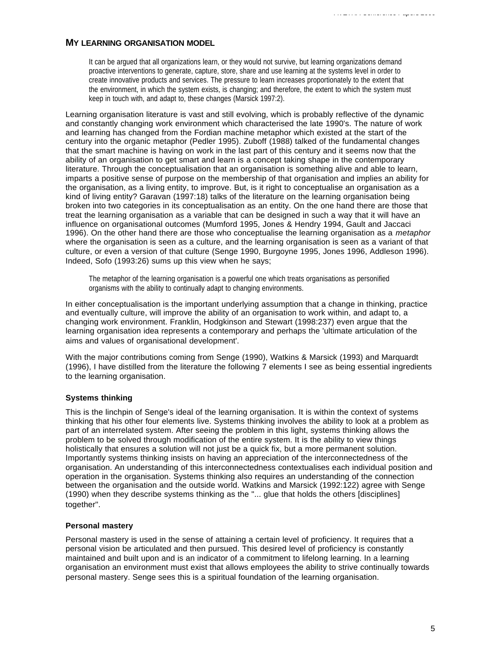## **MY LEARNING ORGANISATION MODEL**

It can be argued that all organizations learn, or they would not survive, but learning organizations demand proactive interventions to generate, capture, store, share and use learning at the systems level in order to create innovative products and services. The pressure to learn increases proportionately to the extent that the environment, in which the system exists, is changing; and therefore, the extent to which the system must keep in touch with, and adapt to, these changes (Marsick 1997:2).

*AVETRA Conference Papers 2000*

Learning organisation literature is vast and still evolving, which is probably reflective of the dynamic and constantly changing work environment which characterised the late 1990's. The nature of work and learning has changed from the Fordian machine metaphor which existed at the start of the century into the organic metaphor (Pedler 1995). Zuboff (1988) talked of the fundamental changes that the smart machine is having on work in the last part of this century and it seems now that the ability of an organisation to get smart and learn is a concept taking shape in the contemporary literature. Through the conceptualisation that an organisation is something alive and able to learn, imparts a positive sense of purpose on the membership of that organisation and implies an ability for the organisation, as a living entity, to improve. But, is it right to conceptualise an organisation as a kind of living entity? Garavan (1997:18) talks of the literature on the learning organisation being broken into two categories in its conceptualisation as an entity. On the one hand there are those that treat the learning organisation as a variable that can be designed in such a way that it will have an influence on organisational outcomes (Mumford 1995, Jones & Hendry 1994, Gault and Jaccaci 1996). On the other hand there are those who conceptualise the learning organisation as a *metaphor* where the organisation is seen as a culture, and the learning organisation is seen as a variant of that culture, or even a version of that culture (Senge 1990, Burgoyne 1995, Jones 1996, Addleson 1996). Indeed, Sofo (1993:26) sums up this view when he says;

The metaphor of the learning organisation is a powerful one which treats organisations as personified organisms with the ability to continually adapt to changing environments.

In either conceptualisation is the important underlying assumption that a change in thinking, practice and eventually culture, will improve the ability of an organisation to work within, and adapt to, a changing work environment. Franklin, Hodgkinson and Stewart (1998:237) even argue that the learning organisation idea represents a contemporary and perhaps the 'ultimate articulation of the aims and values of organisational development'.

With the major contributions coming from Senge (1990), Watkins & Marsick (1993) and Marquardt (1996), I have distilled from the literature the following 7 elements I see as being essential ingredients to the learning organisation.

## **Systems thinking**

This is the linchpin of Senge's ideal of the learning organisation. It is within the context of systems thinking that his other four elements live. Systems thinking involves the ability to look at a problem as part of an interrelated system. After seeing the problem in this light, systems thinking allows the problem to be solved through modification of the entire system. It is the ability to view things holistically that ensures a solution will not just be a quick fix, but a more permanent solution. Importantly systems thinking insists on having an appreciation of the interconnectedness of the organisation. An understanding of this interconnectedness contextualises each individual position and operation in the organisation. Systems thinking also requires an understanding of the connection between the organisation and the outside world. Watkins and Marsick (1992:122) agree with Senge (1990) when they describe systems thinking as the "... glue that holds the others [disciplines] together".

## **Personal mastery**

Personal mastery is used in the sense of attaining a certain level of proficiency. It requires that a personal vision be articulated and then pursued. This desired level of proficiency is constantly maintained and built upon and is an indicator of a commitment to lifelong learning. In a learning organisation an environment must exist that allows employees the ability to strive continually towards personal mastery. Senge sees this is a spiritual foundation of the learning organisation.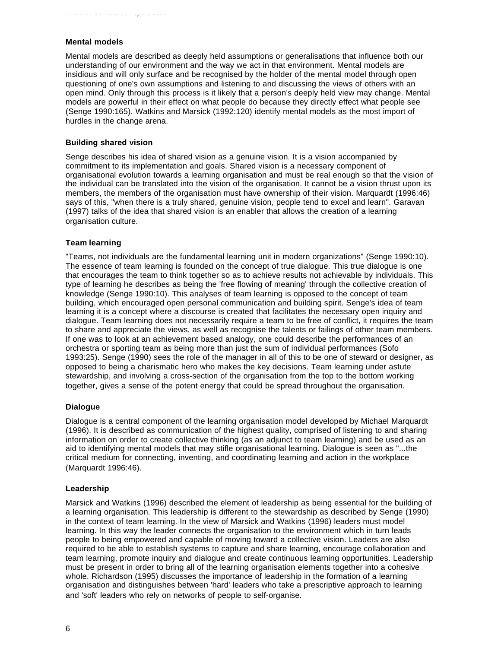#### **Mental models**

Mental models are described as deeply held assumptions or generalisations that influence both our understanding of our environment and the way we act in that environment. Mental models are insidious and will only surface and be recognised by the holder of the mental model through open questioning of one's own assumptions and listening to and discussing the views of others with an open mind. Only through this process is it likely that a person's deeply held view may change. Mental models are powerful in their effect on what people do because they directly effect what people see (Senge 1990:165). Watkins and Marsick (1992:120) identify mental models as the most import of hurdles in the change arena.

#### **Building shared vision**

Senge describes his idea of shared vision as a genuine vision. It is a vision accompanied by commitment to its implementation and goals. Shared vision is a necessary component of organisational evolution towards a learning organisation and must be real enough so that the vision of the individual can be translated into the vision of the organisation. It cannot be a vision thrust upon its members, the members of the organisation must have ownership of their vision. Marquardt (1996:46) says of this, "when there is a truly shared, genuine vision, people tend to excel and learn". Garavan (1997) talks of the idea that shared vision is an enabler that allows the creation of a learning organisation culture.

#### **Team learning**

"Teams, not individuals are the fundamental learning unit in modern organizations" (Senge 1990:10). The essence of team learning is founded on the concept of true dialogue. This true dialogue is one that encourages the team to think together so as to achieve results not achievable by individuals. This type of learning he describes as being the 'free flowing of meaning' through the collective creation of knowledge (Senge 1990:10). This analyses of team learning is opposed to the concept of team building, which encouraged open personal communication and building spirit. Senge's idea of team learning it is a concept where a discourse is created that facilitates the necessary open inquiry and dialogue. Team learning does not necessarily require a team to be free of conflict, it requires the team to share and appreciate the views, as well as recognise the talents or failings of other team members. If one was to look at an achievement based analogy, one could describe the performances of an orchestra or sporting team as being more than just the sum of individual performances (Sofo 1993:25). Senge (1990) sees the role of the manager in all of this to be one of steward or designer, as opposed to being a charismatic hero who makes the key decisions. Team learning under astute stewardship, and involving a cross-section of the organisation from the top to the bottom working together, gives a sense of the potent energy that could be spread throughout the organisation.

## **Dialogue**

Dialogue is a central component of the learning organisation model developed by Michael Marquardt (1996). It is described as communication of the highest quality, comprised of listening to and sharing information on order to create collective thinking (as an adjunct to team learning) and be used as an aid to identifying mental models that may stifle organisational learning. Dialogue is seen as "...the critical medium for connecting, inventing, and coordinating learning and action in the workplace (Marquardt 1996:46).

#### **Leadership**

Marsick and Watkins (1996) described the element of leadership as being essential for the building of a learning organisation. This leadership is different to the stewardship as described by Senge (1990) in the context of team learning. In the view of Marsick and Watkins (1996) leaders must model learning. In this way the leader connects the organisation to the environment which in turn leads people to being empowered and capable of moving toward a collective vision. Leaders are also required to be able to establish systems to capture and share learning, encourage collaboration and team learning, promote inquiry and dialogue and create continuous learning opportunities. Leadership must be present in order to bring all of the learning organisation elements together into a cohesive whole. Richardson (1995) discusses the importance of leadership in the formation of a learning organisation and distinguishes between 'hard' leaders who take a prescriptive approach to learning and 'soft' leaders who rely on networks of people to self-organise.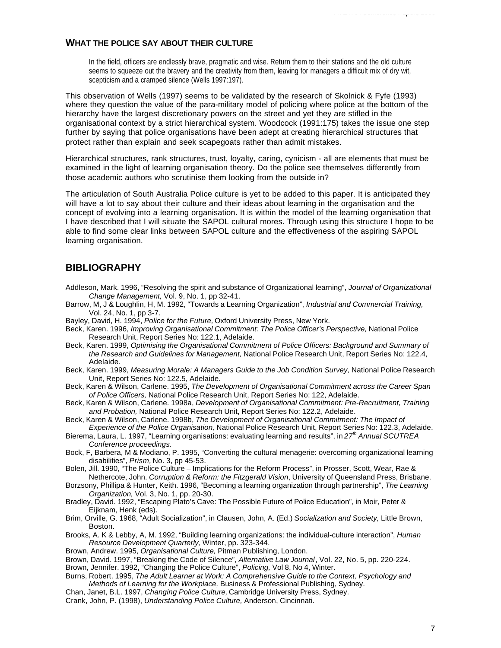#### **WHAT THE POLICE SAY ABOUT THEIR CULTURE**

In the field, officers are endlessly brave, pragmatic and wise. Return them to their stations and the old culture seems to squeeze out the bravery and the creativity from them, leaving for managers a difficult mix of dry wit, scepticism and a cramped silence (Wells 1997:197).

This observation of Wells (1997) seems to be validated by the research of Skolnick & Fyfe (1993) where they question the value of the para-military model of policing where police at the bottom of the hierarchy have the largest discretionary powers on the street and yet they are stifled in the organisational context by a strict hierarchical system. Woodcock (1991:175) takes the issue one step further by saying that police organisations have been adept at creating hierarchical structures that protect rather than explain and seek scapegoats rather than admit mistakes.

Hierarchical structures, rank structures, trust, loyalty, caring, cynicism - all are elements that must be examined in the light of learning organisation theory. Do the police see themselves differently from those academic authors who scrutinise them looking from the outside in?

The articulation of South Australia Police culture is yet to be added to this paper. It is anticipated they will have a lot to say about their culture and their ideas about learning in the organisation and the concept of evolving into a learning organisation. It is within the model of the learning organisation that I have described that I will situate the SAPOL cultural mores. Through using this structure I hope to be able to find some clear links between SAPOL culture and the effectiveness of the aspiring SAPOL learning organisation.

## **BIBLIOGRAPHY**

- Addleson, Mark. 1996, "Resolving the spirit and substance of Organizational learning", *Journal of Organizational Change Management,* Vol. 9, No. 1, pp 32-41.
- Barrow, M, J & Loughlin, H, M. 1992, "Towards a Learning Organization", *Industrial and Commercial Training,* Vol. 24, No. 1, pp 3-7.
- Bayley, David, H. 1994, *Police for the Future,* Oxford University Press, New York.
- Beck, Karen. 1996, *Improving Organisational Commitment: The Police Officer's Perspective,* National Police Research Unit, Report Series No: 122.1, Adelaide.
- Beck, Karen. 1999, *Optimising the Organisational Commitment of Police Officers: Background and Summary of the Research and Guidelines for Management,* National Police Research Unit, Report Series No: 122.4, Adelaide.
- Beck, Karen. 1999, *Measuring Morale: A Managers Guide to the Job Condition Survey*, National Police Research Unit, Report Series No: 122.5, Adelaide.
- Beck, Karen & Wilson, Carlene. 1995, *The Development of Organisational Commitment across the Career Span of Police Officers,* National Police Research Unit, Report Series No: 122, Adelaide.
- Beck, Karen & Wilson, Carlene. 1998a, *Development of Organisational Commitment: Pre-Recruitment, Training and Probation,* National Police Research Unit, Report Series No: 122.2, Adelaide.
- Beck, Karen & Wilson, Carlene. 1998b, *The Development of Organisational Commitment: The Impact of Experience of the Police Organisation,* National Police Research Unit, Report Series No: 122.3, Adelaide.
- Bierema, Laura, L. 1997, "Learning organisations: evaluating learning and results", in *27th Annual SCUTREA Conference proceedings.*
- Bock, F, Barbera, M & Modiano, P. 1995, "Converting the cultural menagerie: overcoming organizational learning disabilities", *Prism,* No. 3, pp 45-53.
- Bolen, Jill. 1990, "The Police Culture Implications for the Reform Process", in Prosser, Scott, Wear, Rae & Nethercote, John. *Corruption & Reform: the Fitzgerald Vision*, University of Queensland Press, Brisbane.
- Borzsony, Phillipa & Hunter, Keith. 1996, "Becoming a learning organization through partnership", *The Learning Organization,* Vol. 3, No. 1, pp. 20-30.
- Bradley, David. 1992, "Escaping Plato's Cave: The Possible Future of Police Education", in Moir, Peter & Eijknam, Henk (eds).
- Brim, Orville, G. 1968, "Adult Socialization", in Clausen, John, A. (Ed.) *Socialization and Society,* Little Brown, Boston.
- Brooks, A. K & Lebby, A, M. 1992, "Building learning organizations: the individual-culture interaction", *Human Resource Development Quarterly,* Winter, pp. 323-344.
- Brown, Andrew. 1995, *Organisational Culture,* Pitman Publishing, London.
- Brown, David. 1997, "Breaking the Code of Silence", *Alternative Law Journal*, Vol. 22, No. 5, pp. 220-224.
- Brown, Jennifer. 1992, "Changing the Police Culture", *Policing,* Vol 8, No 4, Winter.
- Burns, Robert. 1995, *The Adult Learner at Work: A Comprehensive Guide to the Context, Psychology and Methods of Learning for the Workplace,* Business & Professional Publishing, Sydney.
- Chan, Janet, B.L. 1997, *Changing Police Culture,* Cambridge University Press, Sydney.
- Crank, John, P. (1998), *Understanding Police Culture,* Anderson, Cincinnati.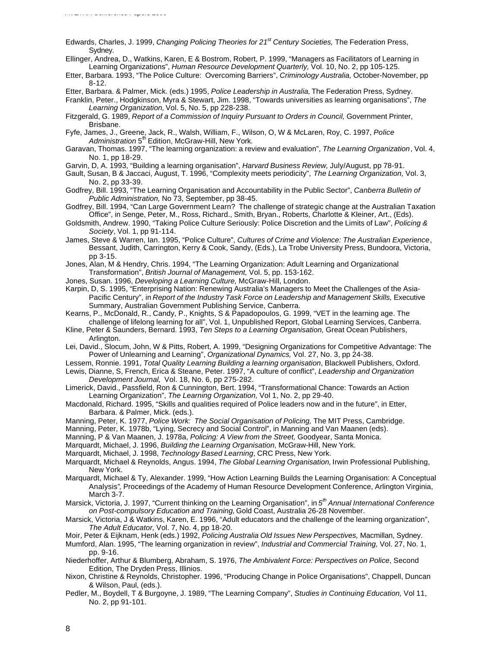- Edwards, Charles, J. 1999, *Changing Policing Theories for 21st Century Societies,* The Federation Press, Sydney.
- Ellinger, Andrea, D., Watkins, Karen, E & Bostrom, Robert, P. 1999, "Managers as Facilitators of Learning in Learning Organizations", *Human Resource Development Quarterly,* Vol. 10, No. 2, pp 105-125.
- Etter, Barbara. 1993, "The Police Culture: Overcoming Barriers", *Criminology Australia,* October-November, pp 8-12.
- Etter, Barbara. & Palmer, Mick. (eds.) 1995, *Police Leadership in Australia,* The Federation Press, Sydney.

Franklin, Peter., Hodgkinson, Myra & Stewart, Jim. 1998, "Towards universities as learning organisations", *The Learning Organization,* Vol. 5, No. 5, pp 228-238.

Fitzgerald, G. 1989, *Report of a Commission of Inquiry Pursuant to Orders in Council, Government Printer,* Brisbane.

Fyfe, James, J., Greene, Jack, R., Walsh, William, F., Wilson, O, W & McLaren, Roy, C. 1997, *Police* Administration 5<sup>th</sup> Edition, McGraw-Hill, New York.

- Garavan, Thomas. 1997, "The learning organization: a review and evaluation", *The Learning Organization*, Vol. 4, No. 1, pp 18-29.
- Garvin, D, A. 1993, "Building a learning organisation", *Harvard Business Review,* July/August, pp 78-91.
- Gault, Susan, B & Jaccaci, August, T. 1996, "Complexity meets periodicity", *The Learning Organization,* Vol. 3, No. 2, pp 33-39.
- Godfrey, Bill. 1993, "The Learning Organisation and Accountability in the Public Sector", *Canberra Bulletin of Public Administration,* No 73, September, pp 38-45.
- Godfrey, Bill. 1994, "Can Large Government Learn? The challenge of strategic change at the Australian Taxation Office", in Senge, Peter, M., Ross, Richard., Smith, Bryan., Roberts, Charlotte & Kleiner, Art., (Eds).
- Goldsmith, Andrew. 1990, "Taking Police Culture Seriously: Police Discretion and the Limits of Law", *Policing & Society*, Vol. 1, pp 91-114.

James, Steve & Warren, Ian. 1995, "Police Culture", *Cultures of Crime and Violence: The Australian Experience*, Bessant, Judith, Carrington, Kerry & Cook, Sandy, (Eds.), La Trobe University Press, Bundoora, Victoria, pp 3-15.

- Jones, Alan, M & Hendry, Chris. 1994, "The Learning Organization: Adult Learning and Organizational Transformation", *British Journal of Management,* Vol. 5, pp. 153-162.
- Jones, Susan. 1996, *Developing a Learning Culture,* McGraw-Hill, London.
- Karpin, D, S. 1995, "Enterprising Nation: Renewing Australia's Managers to Meet the Challenges of the Asia-Pacific Century", in *Report of the Industry Task Force on Leadership and Management Skills, Executive* Summary, Australian Government Publishing Service, Canberra.
- Kearns, P., McDonald, R., Candy, P., Knights, S & Papadopoulos, G. 1999, "VET in the learning age. The challenge of lifelong learning for all", Vol. 1, Unpublished Report, Global Learning Services, Canberra.
- Kline, Peter & Saunders, Bernard. 1993, *Ten Steps to a Learning Organisation,* Great Ocean Publishers, Arlington.
- Lei, David., Slocum, John, W & Pitts, Robert, A. 1999, "Designing Organizations for Competitive Advantage: The Power of Unlearning and Learning", *Organizational Dynamics,* Vol. 27, No. 3, pp 24-38.
- Lessem, Ronnie. 1991, *Total Quality Learning Building a learning organisation*, Blackwell Publishers, Oxford.
- Lewis, Dianne, S, French, Erica & Steane, Peter. 1997, "A culture of conflict", *Leadership and Organization Development Journal,* Vol. 18, No. 6, pp 275-282.
- Limerick, David., Passfield, Ron & Cunnington, Bert. 1994, "Transformational Chance: Towards an Action Learning Organization", *The Learning Organization,* Vol 1, No. 2, pp 29-40.
- Macdonald, Richard. 1995, "Skills and qualities required of Police leaders now and in the future", in Etter, Barbara. & Palmer, Mick. (eds.).
- Manning, Peter, K. 1977, *Police Work: The Social Organisation of Policing,* The MIT Press, Cambridge.
- Manning, Peter, K. 1978b, "Lying, Secrecy and Social Control", in Manning and Van Maanen (eds).
- Manning, P & Van Maanen, J. 1978a, *Policing: A View from the Street,* Goodyear, Santa Monica.
- Marquardt, Michael, J. 1996, *Building the Learning Organisation,* McGraw-Hill, New York.

Marquardt, Michael, J. 1998, *Technology Based Learning*, CRC Press, New York.

- Marquardt, Michael & Reynolds, Angus. 1994, *The Global Learning Organisation,* Irwin Professional Publishing, New York.
- Marquardt, Michael & Ty, Alexander. 1999, "How Action Learning Builds the Learning Organisation: A Conceptual Analysis"*,* Proceedings of the Academy of Human Resource Development Conference, Arlington Virginia, March 3-7.
- Marsick, Victoria, J. 1997, "Current thinking on the Learning Organisation", in *5 th Annual International Conference on Post-compulsory Education and Training,* Gold Coast, Australia 26-28 November.
- Marsick, Victoria, J & Watkins, Karen, E. 1996, "Adult educators and the challenge of the learning organization", *The Adult Educator,* Vol. 7, No. 4, pp 18-20.
- Moir, Peter & Eijknam, Henk (eds.) 1992, *Policing Australia Old Issues New Perspectives,* Macmillan, Sydney.

Mumford, Alan. 1995, "The learning organization in review", *Industrial and Commercial Training,* Vol. 27, No. 1, pp. 9-16.

- Niederhoffer, Arthur & Blumberg, Abraham, S. 1976, *The Ambivalent Force: Perspectives on Police*, Second Edition, The Dryden Press, Illinios.
- Nixon, Christine & Reynolds, Christopher. 1996, "Producing Change in Police Organisations", Chappell, Duncan & Wilson, Paul, (eds.).
- Pedler, M., Boydell, T & Burgoyne, J. 1989, "The Learning Company", *Studies in Continuing Education,* Vol 11, No. 2, pp 91-101.